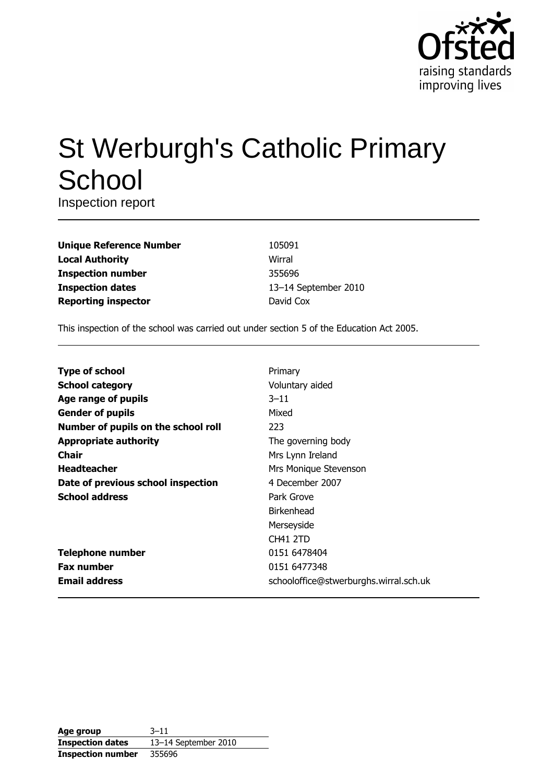

# **St Werburgh's Catholic Primary** School

Inspection report

| <b>Unique Reference Number</b> |
|--------------------------------|
| <b>Local Authority</b>         |
| <b>Inspection number</b>       |
| <b>Inspection dates</b>        |
| <b>Reporting inspector</b>     |

105091 Wirral 355696 13-14 September 2010 David Cox

This inspection of the school was carried out under section 5 of the Education Act 2005.

| <b>Type of school</b>               | Primary                                |
|-------------------------------------|----------------------------------------|
| <b>School category</b>              | Voluntary aided                        |
| Age range of pupils                 | $3 - 11$                               |
| <b>Gender of pupils</b>             | Mixed                                  |
| Number of pupils on the school roll | 223                                    |
| <b>Appropriate authority</b>        | The governing body                     |
| Chair                               | Mrs Lynn Ireland                       |
| <b>Headteacher</b>                  | Mrs Monique Stevenson                  |
| Date of previous school inspection  | 4 December 2007                        |
| <b>School address</b>               | Park Grove                             |
|                                     | Birkenhead                             |
|                                     | Merseyside                             |
|                                     | CH41 2TD                               |
| <b>Telephone number</b>             | 0151 6478404                           |
| <b>Fax number</b>                   | 0151 6477348                           |
| <b>Email address</b>                | schooloffice@stwerburghs.wirral.sch.uk |

| Age group                | $3 - 11$             |
|--------------------------|----------------------|
| <b>Inspection dates</b>  | 13-14 September 2010 |
| <b>Inspection number</b> | 355696               |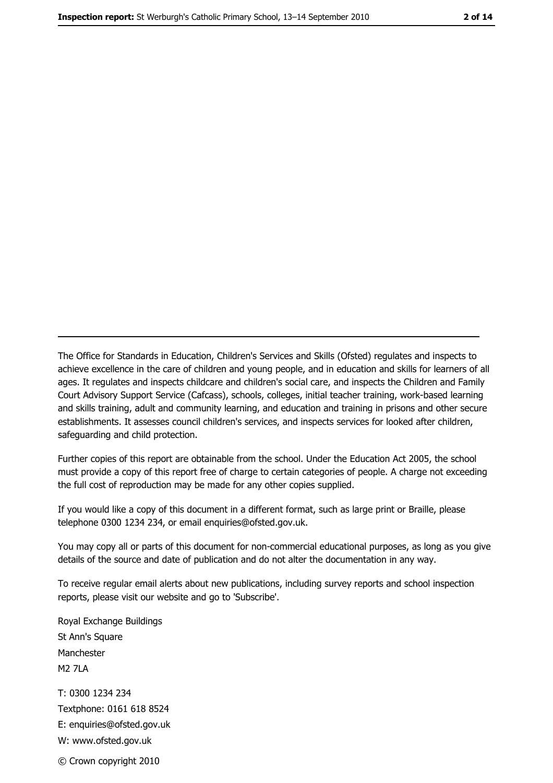The Office for Standards in Education, Children's Services and Skills (Ofsted) regulates and inspects to achieve excellence in the care of children and young people, and in education and skills for learners of all ages. It regulates and inspects childcare and children's social care, and inspects the Children and Family Court Advisory Support Service (Cafcass), schools, colleges, initial teacher training, work-based learning and skills training, adult and community learning, and education and training in prisons and other secure establishments. It assesses council children's services, and inspects services for looked after children, safeguarding and child protection.

Further copies of this report are obtainable from the school. Under the Education Act 2005, the school must provide a copy of this report free of charge to certain categories of people. A charge not exceeding the full cost of reproduction may be made for any other copies supplied.

If you would like a copy of this document in a different format, such as large print or Braille, please telephone 0300 1234 234, or email enquiries@ofsted.gov.uk.

You may copy all or parts of this document for non-commercial educational purposes, as long as you give details of the source and date of publication and do not alter the documentation in any way.

To receive regular email alerts about new publications, including survey reports and school inspection reports, please visit our website and go to 'Subscribe'.

Royal Exchange Buildings St Ann's Square Manchester **M2 7I A** T: 0300 1234 234 Textphone: 0161 618 8524 E: enquiries@ofsted.gov.uk W: www.ofsted.gov.uk © Crown copyright 2010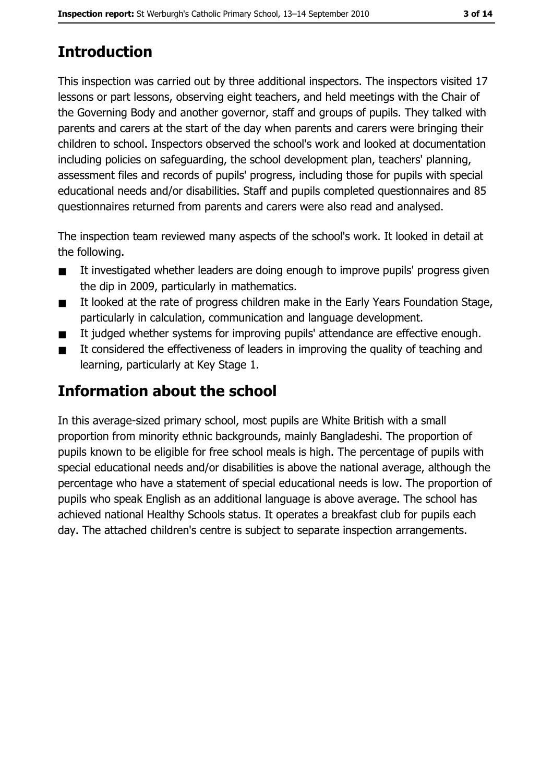# **Introduction**

This inspection was carried out by three additional inspectors. The inspectors visited 17 lessons or part lessons, observing eight teachers, and held meetings with the Chair of the Governing Body and another governor, staff and groups of pupils. They talked with parents and carers at the start of the day when parents and carers were bringing their children to school. Inspectors observed the school's work and looked at documentation including policies on safeguarding, the school development plan, teachers' planning, assessment files and records of pupils' progress, including those for pupils with special educational needs and/or disabilities. Staff and pupils completed questionnaires and 85 questionnaires returned from parents and carers were also read and analysed.

The inspection team reviewed many aspects of the school's work. It looked in detail at the following.

- It investigated whether leaders are doing enough to improve pupils' progress given  $\blacksquare$ the dip in 2009, particularly in mathematics.
- It looked at the rate of progress children make in the Early Years Foundation Stage,  $\blacksquare$ particularly in calculation, communication and language development.
- It judged whether systems for improving pupils' attendance are effective enough.  $\blacksquare$
- It considered the effectiveness of leaders in improving the quality of teaching and  $\blacksquare$ learning, particularly at Key Stage 1.

# Information about the school

In this average-sized primary school, most pupils are White British with a small proportion from minority ethnic backgrounds, mainly Bangladeshi. The proportion of pupils known to be eligible for free school meals is high. The percentage of pupils with special educational needs and/or disabilities is above the national average, although the percentage who have a statement of special educational needs is low. The proportion of pupils who speak English as an additional language is above average. The school has achieved national Healthy Schools status. It operates a breakfast club for pupils each day. The attached children's centre is subject to separate inspection arrangements.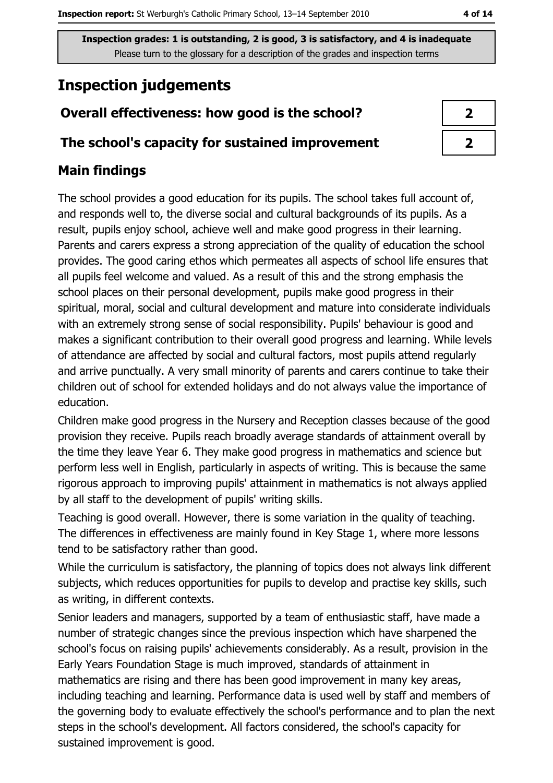# **Inspection judgements**

#### Overall effectiveness: how good is the school?

#### The school's capacity for sustained improvement

#### **Main findings**

The school provides a good education for its pupils. The school takes full account of, and responds well to, the diverse social and cultural backgrounds of its pupils. As a result, pupils enjoy school, achieve well and make good progress in their learning. Parents and carers express a strong appreciation of the quality of education the school provides. The good caring ethos which permeates all aspects of school life ensures that all pupils feel welcome and valued. As a result of this and the strong emphasis the school places on their personal development, pupils make good progress in their spiritual, moral, social and cultural development and mature into considerate individuals with an extremely strong sense of social responsibility. Pupils' behaviour is good and makes a significant contribution to their overall good progress and learning. While levels of attendance are affected by social and cultural factors, most pupils attend regularly and arrive punctually. A very small minority of parents and carers continue to take their children out of school for extended holidays and do not always value the importance of education.

Children make good progress in the Nursery and Reception classes because of the good provision they receive. Pupils reach broadly average standards of attainment overall by the time they leave Year 6. They make good progress in mathematics and science but perform less well in English, particularly in aspects of writing. This is because the same rigorous approach to improving pupils' attainment in mathematics is not always applied by all staff to the development of pupils' writing skills.

Teaching is good overall. However, there is some variation in the quality of teaching. The differences in effectiveness are mainly found in Key Stage 1, where more lessons tend to be satisfactory rather than good.

While the curriculum is satisfactory, the planning of topics does not always link different subjects, which reduces opportunities for pupils to develop and practise key skills, such as writing, in different contexts.

Senior leaders and managers, supported by a team of enthusiastic staff, have made a number of strategic changes since the previous inspection which have sharpened the school's focus on raising pupils' achievements considerably. As a result, provision in the Early Years Foundation Stage is much improved, standards of attainment in mathematics are rising and there has been good improvement in many key areas, including teaching and learning. Performance data is used well by staff and members of the governing body to evaluate effectively the school's performance and to plan the next steps in the school's development. All factors considered, the school's capacity for sustained improvement is good.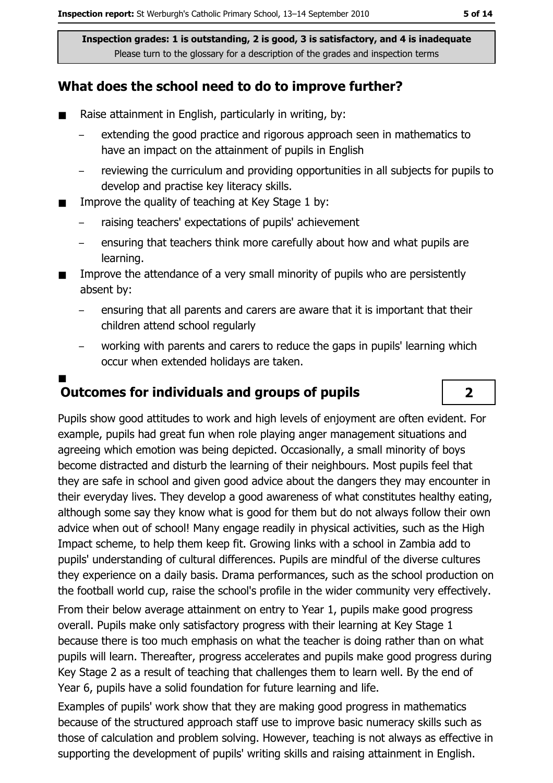#### What does the school need to do to improve further?

- Raise attainment in English, particularly in writing, by:  $\blacksquare$ 
	- extending the good practice and rigorous approach seen in mathematics to have an impact on the attainment of pupils in English
	- reviewing the curriculum and providing opportunities in all subjects for pupils to develop and practise key literacy skills.
- Improve the quality of teaching at Key Stage 1 by:  $\blacksquare$ 
	- raising teachers' expectations of pupils' achievement
	- ensuring that teachers think more carefully about how and what pupils are learning.
- Improve the attendance of a very small minority of pupils who are persistently  $\blacksquare$ absent by:
	- ensuring that all parents and carers are aware that it is important that their children attend school regularly
	- working with parents and carers to reduce the gaps in pupils' learning which occur when extended holidays are taken.

# **Outcomes for individuals and groups of pupils**

Pupils show good attitudes to work and high levels of enjoyment are often evident. For example, pupils had great fun when role playing anger management situations and agreeing which emotion was being depicted. Occasionally, a small minority of boys become distracted and disturb the learning of their neighbours. Most pupils feel that they are safe in school and given good advice about the dangers they may encounter in their everyday lives. They develop a good awareness of what constitutes healthy eating, although some say they know what is good for them but do not always follow their own advice when out of school! Many engage readily in physical activities, such as the High Impact scheme, to help them keep fit. Growing links with a school in Zambia add to pupils' understanding of cultural differences. Pupils are mindful of the diverse cultures they experience on a daily basis. Drama performances, such as the school production on the football world cup, raise the school's profile in the wider community very effectively.

From their below average attainment on entry to Year 1, pupils make good progress overall. Pupils make only satisfactory progress with their learning at Key Stage 1 because there is too much emphasis on what the teacher is doing rather than on what pupils will learn. Thereafter, progress accelerates and pupils make good progress during Key Stage 2 as a result of teaching that challenges them to learn well. By the end of Year 6, pupils have a solid foundation for future learning and life.

Examples of pupils' work show that they are making good progress in mathematics because of the structured approach staff use to improve basic numeracy skills such as those of calculation and problem solving. However, teaching is not always as effective in supporting the development of pupils' writing skills and raising attainment in English.

 $\overline{\mathbf{2}}$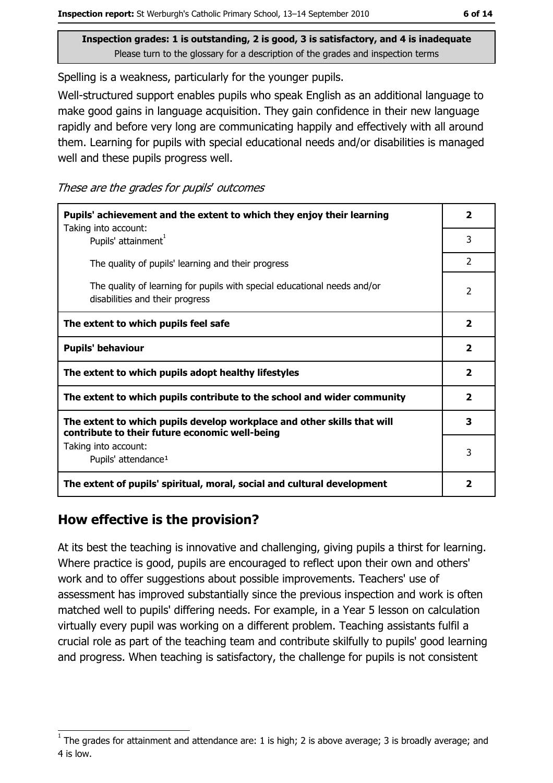Spelling is a weakness, particularly for the younger pupils.

Well-structured support enables pupils who speak English as an additional language to make good gains in language acquisition. They gain confidence in their new language rapidly and before very long are communicating happily and effectively with all around them. Learning for pupils with special educational needs and/or disabilities is managed well and these pupils progress well.

These are the grades for pupils' outcomes

| Pupils' achievement and the extent to which they enjoy their learning                                                     |               |  |  |
|---------------------------------------------------------------------------------------------------------------------------|---------------|--|--|
| Taking into account:<br>Pupils' attainment <sup>1</sup>                                                                   |               |  |  |
| The quality of pupils' learning and their progress                                                                        | $\mathcal{P}$ |  |  |
| The quality of learning for pupils with special educational needs and/or<br>disabilities and their progress               |               |  |  |
| The extent to which pupils feel safe                                                                                      |               |  |  |
| <b>Pupils' behaviour</b>                                                                                                  |               |  |  |
| The extent to which pupils adopt healthy lifestyles                                                                       |               |  |  |
| The extent to which pupils contribute to the school and wider community                                                   |               |  |  |
| The extent to which pupils develop workplace and other skills that will<br>contribute to their future economic well-being |               |  |  |
| Taking into account:<br>Pupils' attendance <sup>1</sup>                                                                   |               |  |  |
| The extent of pupils' spiritual, moral, social and cultural development                                                   | 2             |  |  |

#### How effective is the provision?

At its best the teaching is innovative and challenging, giving pupils a thirst for learning. Where practice is good, pupils are encouraged to reflect upon their own and others' work and to offer suggestions about possible improvements. Teachers' use of assessment has improved substantially since the previous inspection and work is often matched well to pupils' differing needs. For example, in a Year 5 lesson on calculation virtually every pupil was working on a different problem. Teaching assistants fulfil a crucial role as part of the teaching team and contribute skilfully to pupils' good learning and progress. When teaching is satisfactory, the challenge for pupils is not consistent

The grades for attainment and attendance are: 1 is high; 2 is above average; 3 is broadly average; and 4 is low.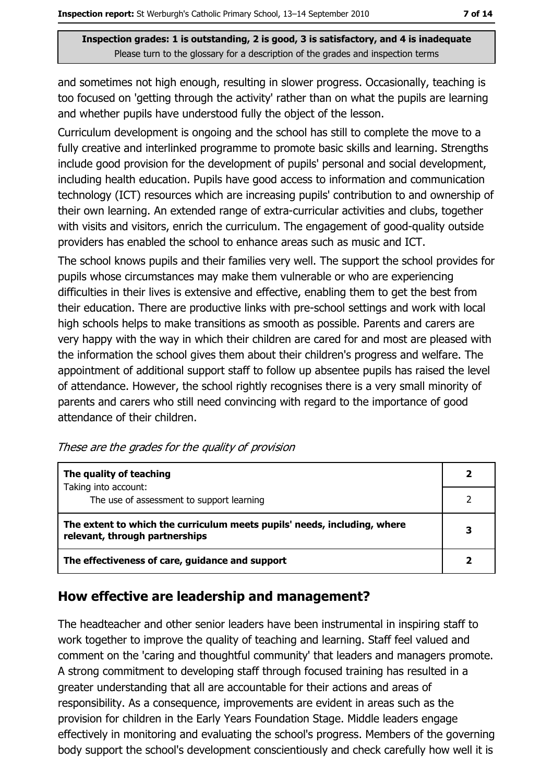and sometimes not high enough, resulting in slower progress. Occasionally, teaching is too focused on 'getting through the activity' rather than on what the pupils are learning and whether pupils have understood fully the object of the lesson.

Curriculum development is ongoing and the school has still to complete the move to a fully creative and interlinked programme to promote basic skills and learning. Strengths include good provision for the development of pupils' personal and social development, including health education. Pupils have good access to information and communication technology (ICT) resources which are increasing pupils' contribution to and ownership of their own learning. An extended range of extra-curricular activities and clubs, together with visits and visitors, enrich the curriculum. The engagement of good-quality outside providers has enabled the school to enhance areas such as music and ICT.

The school knows pupils and their families very well. The support the school provides for pupils whose circumstances may make them vulnerable or who are experiencing difficulties in their lives is extensive and effective, enabling them to get the best from their education. There are productive links with pre-school settings and work with local high schools helps to make transitions as smooth as possible. Parents and carers are very happy with the way in which their children are cared for and most are pleased with the information the school gives them about their children's progress and welfare. The appointment of additional support staff to follow up absentee pupils has raised the level of attendance. However, the school rightly recognises there is a very small minority of parents and carers who still need convincing with regard to the importance of good attendance of their children.

| The quality of teaching                                                                                    |   |
|------------------------------------------------------------------------------------------------------------|---|
| Taking into account:                                                                                       |   |
| The use of assessment to support learning                                                                  |   |
| The extent to which the curriculum meets pupils' needs, including, where<br>relevant, through partnerships | 3 |
| The effectiveness of care, guidance and support                                                            |   |

#### How effective are leadership and management?

The headteacher and other senior leaders have been instrumental in inspiring staff to work together to improve the quality of teaching and learning. Staff feel valued and comment on the 'caring and thoughtful community' that leaders and managers promote. A strong commitment to developing staff through focused training has resulted in a greater understanding that all are accountable for their actions and areas of responsibility. As a consequence, improvements are evident in areas such as the provision for children in the Early Years Foundation Stage. Middle leaders engage effectively in monitoring and evaluating the school's progress. Members of the governing body support the school's development conscientiously and check carefully how well it is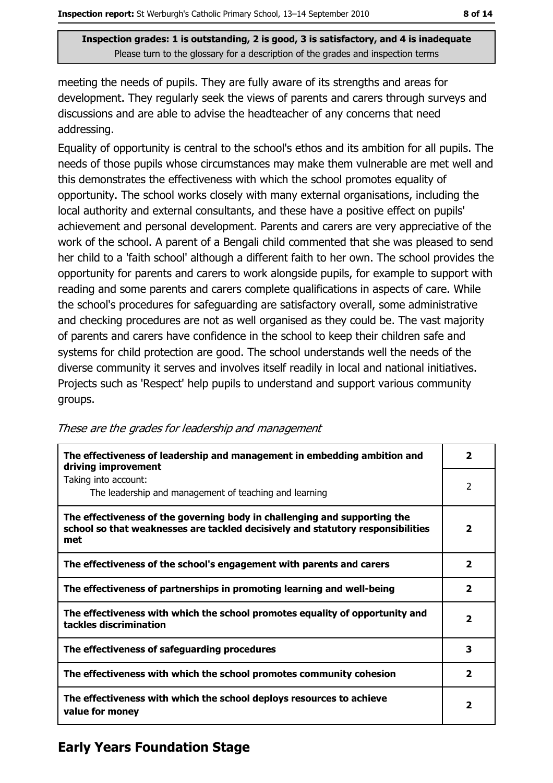meeting the needs of pupils. They are fully aware of its strengths and areas for development. They regularly seek the views of parents and carers through surveys and discussions and are able to advise the headteacher of any concerns that need addressing.

Equality of opportunity is central to the school's ethos and its ambition for all pupils. The needs of those pupils whose circumstances may make them vulnerable are met well and this demonstrates the effectiveness with which the school promotes equality of opportunity. The school works closely with many external organisations, including the local authority and external consultants, and these have a positive effect on pupils' achievement and personal development. Parents and carers are very appreciative of the work of the school. A parent of a Bengali child commented that she was pleased to send her child to a 'faith school' although a different faith to her own. The school provides the opportunity for parents and carers to work alongside pupils, for example to support with reading and some parents and carers complete qualifications in aspects of care. While the school's procedures for safeguarding are satisfactory overall, some administrative and checking procedures are not as well organised as they could be. The vast majority of parents and carers have confidence in the school to keep their children safe and systems for child protection are good. The school understands well the needs of the diverse community it serves and involves itself readily in local and national initiatives. Projects such as 'Respect' help pupils to understand and support various community groups.

| The effectiveness of leadership and management in embedding ambition and<br>driving improvement                                                                     | 2            |
|---------------------------------------------------------------------------------------------------------------------------------------------------------------------|--------------|
| Taking into account:<br>The leadership and management of teaching and learning                                                                                      | 2            |
| The effectiveness of the governing body in challenging and supporting the<br>school so that weaknesses are tackled decisively and statutory responsibilities<br>met | 2            |
| The effectiveness of the school's engagement with parents and carers                                                                                                | 2            |
| The effectiveness of partnerships in promoting learning and well-being                                                                                              | 2            |
| The effectiveness with which the school promotes equality of opportunity and<br>tackles discrimination                                                              | $\mathbf{z}$ |
| The effectiveness of safeguarding procedures                                                                                                                        | 3            |
| The effectiveness with which the school promotes community cohesion                                                                                                 | $\mathbf{z}$ |
| The effectiveness with which the school deploys resources to achieve<br>value for money                                                                             | 2            |

#### These are the grades for leadership and management

### **Early Years Foundation Stage**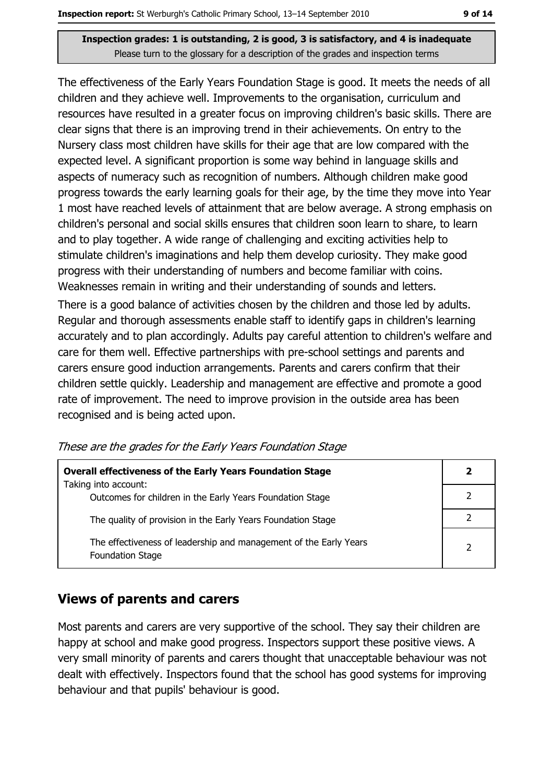The effectiveness of the Early Years Foundation Stage is good. It meets the needs of all children and they achieve well. Improvements to the organisation, curriculum and resources have resulted in a greater focus on improving children's basic skills. There are clear signs that there is an improving trend in their achievements. On entry to the Nursery class most children have skills for their age that are low compared with the expected level. A significant proportion is some way behind in language skills and aspects of numeracy such as recognition of numbers. Although children make good progress towards the early learning goals for their age, by the time they move into Year 1 most have reached levels of attainment that are below average. A strong emphasis on children's personal and social skills ensures that children soon learn to share, to learn and to play together. A wide range of challenging and exciting activities help to stimulate children's imaginations and help them develop curiosity. They make good progress with their understanding of numbers and become familiar with coins. Weaknesses remain in writing and their understanding of sounds and letters.

There is a good balance of activities chosen by the children and those led by adults. Regular and thorough assessments enable staff to identify gaps in children's learning accurately and to plan accordingly. Adults pay careful attention to children's welfare and care for them well. Effective partnerships with pre-school settings and parents and carers ensure good induction arrangements. Parents and carers confirm that their children settle quickly. Leadership and management are effective and promote a good rate of improvement. The need to improve provision in the outside area has been recognised and is being acted upon.

| <b>Overall effectiveness of the Early Years Foundation Stage</b><br>Taking into account:     |   |
|----------------------------------------------------------------------------------------------|---|
| Outcomes for children in the Early Years Foundation Stage                                    |   |
| The quality of provision in the Early Years Foundation Stage                                 |   |
| The effectiveness of leadership and management of the Early Years<br><b>Foundation Stage</b> | っ |

These are the grades for the Early Years Foundation Stage

#### **Views of parents and carers**

Most parents and carers are very supportive of the school. They say their children are happy at school and make good progress. Inspectors support these positive views. A very small minority of parents and carers thought that unacceptable behaviour was not dealt with effectively. Inspectors found that the school has good systems for improving behaviour and that pupils' behaviour is good.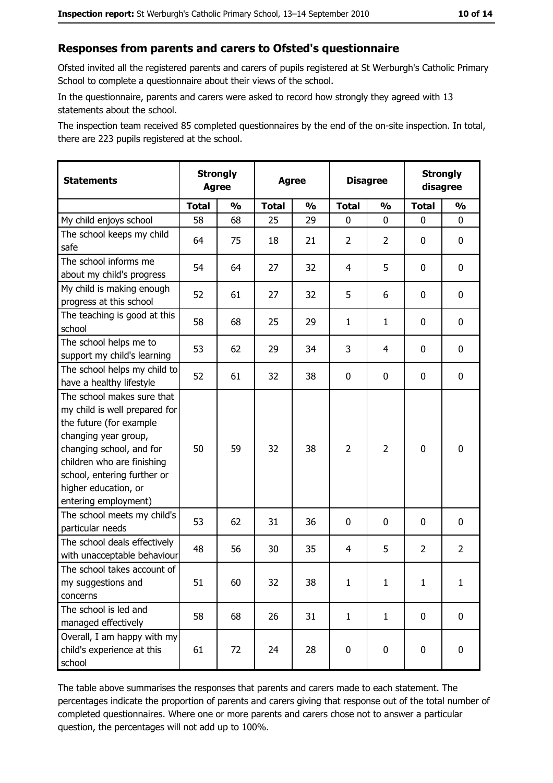#### Responses from parents and carers to Ofsted's questionnaire

Ofsted invited all the registered parents and carers of pupils registered at St Werburgh's Catholic Primary School to complete a questionnaire about their views of the school.

In the questionnaire, parents and carers were asked to record how strongly they agreed with 13 statements about the school.

The inspection team received 85 completed questionnaires by the end of the on-site inspection. In total, there are 223 pupils registered at the school.

| <b>Statements</b>                                                                                                                                                                                                                                       | <b>Strongly</b><br><b>Agree</b> |               | <b>Agree</b> |               | <b>Disagree</b> |                |                | <b>Strongly</b><br>disagree |
|---------------------------------------------------------------------------------------------------------------------------------------------------------------------------------------------------------------------------------------------------------|---------------------------------|---------------|--------------|---------------|-----------------|----------------|----------------|-----------------------------|
|                                                                                                                                                                                                                                                         | <b>Total</b>                    | $\frac{1}{2}$ | <b>Total</b> | $\frac{0}{0}$ | <b>Total</b>    | $\frac{1}{2}$  | <b>Total</b>   | $\frac{1}{2}$               |
| My child enjoys school                                                                                                                                                                                                                                  | 58                              | 68            | 25           | 29            | 0               | 0              | $\Omega$       | $\mathbf 0$                 |
| The school keeps my child<br>safe                                                                                                                                                                                                                       | 64                              | 75            | 18           | 21            | $\overline{2}$  | $\overline{2}$ | 0              | $\mathbf 0$                 |
| The school informs me<br>about my child's progress                                                                                                                                                                                                      | 54                              | 64            | 27           | 32            | 4               | 5              | 0              | $\mathbf 0$                 |
| My child is making enough<br>progress at this school                                                                                                                                                                                                    | 52                              | 61            | 27           | 32            | 5               | 6              | 0              | 0                           |
| The teaching is good at this<br>school                                                                                                                                                                                                                  | 58                              | 68            | 25           | 29            | $\mathbf{1}$    | $\mathbf{1}$   | 0              | 0                           |
| The school helps me to<br>support my child's learning                                                                                                                                                                                                   | 53                              | 62            | 29           | 34            | 3               | 4              | 0              | 0                           |
| The school helps my child to<br>have a healthy lifestyle                                                                                                                                                                                                | 52                              | 61            | 32           | 38            | $\mathbf 0$     | 0              | 0              | $\mathbf 0$                 |
| The school makes sure that<br>my child is well prepared for<br>the future (for example<br>changing year group,<br>changing school, and for<br>children who are finishing<br>school, entering further or<br>higher education, or<br>entering employment) | 50                              | 59            | 32           | 38            | $\overline{2}$  | 2              | $\mathbf 0$    | $\mathbf 0$                 |
| The school meets my child's<br>particular needs                                                                                                                                                                                                         | 53                              | 62            | 31           | 36            | $\mathbf 0$     | 0              | 0              | 0                           |
| The school deals effectively<br>with unacceptable behaviour                                                                                                                                                                                             | 48                              | 56            | 30           | 35            | $\overline{4}$  | 5              | $\overline{2}$ | $\overline{2}$              |
| The school takes account of<br>my suggestions and<br>concerns                                                                                                                                                                                           | 51                              | 60            | 32           | 38            | $\mathbf{1}$    | $\mathbf{1}$   | $\mathbf{1}$   | $\mathbf{1}$                |
| The school is led and<br>managed effectively                                                                                                                                                                                                            | 58                              | 68            | 26           | 31            | $\mathbf{1}$    | $\mathbf{1}$   | $\mathbf 0$    | $\mathbf 0$                 |
| Overall, I am happy with my<br>child's experience at this<br>school                                                                                                                                                                                     | 61                              | 72            | 24           | 28            | $\mathbf 0$     | 0              | $\mathbf 0$    | 0                           |

The table above summarises the responses that parents and carers made to each statement. The percentages indicate the proportion of parents and carers giving that response out of the total number of completed questionnaires. Where one or more parents and carers chose not to answer a particular question, the percentages will not add up to 100%.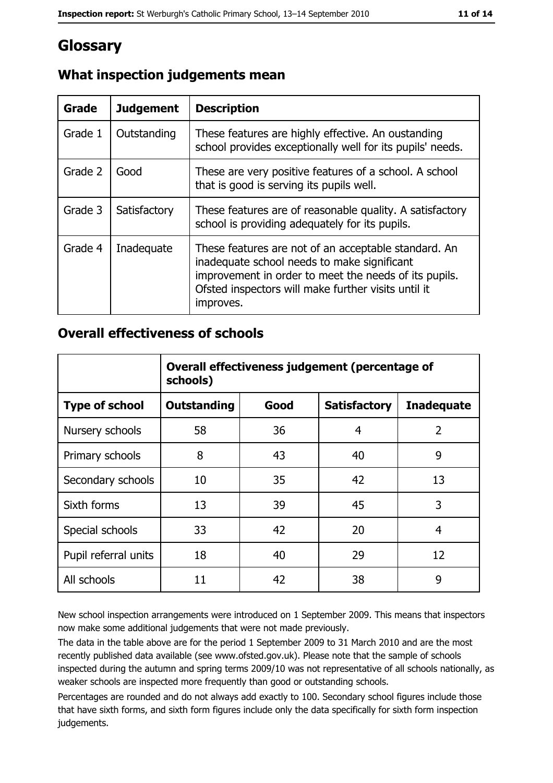# Glossary

| <b>Grade</b> | <b>Judgement</b> | <b>Description</b>                                                                                                                                                                                                               |
|--------------|------------------|----------------------------------------------------------------------------------------------------------------------------------------------------------------------------------------------------------------------------------|
| Grade 1      | Outstanding      | These features are highly effective. An oustanding<br>school provides exceptionally well for its pupils' needs.                                                                                                                  |
| Grade 2      | Good             | These are very positive features of a school. A school<br>that is good is serving its pupils well.                                                                                                                               |
| Grade 3      | Satisfactory     | These features are of reasonable quality. A satisfactory<br>school is providing adequately for its pupils.                                                                                                                       |
| Grade 4      | Inadequate       | These features are not of an acceptable standard. An<br>inadequate school needs to make significant<br>improvement in order to meet the needs of its pupils.<br>Ofsted inspectors will make further visits until it<br>improves. |

#### What inspection judgements mean

#### **Overall effectiveness of schools**

|                       | Overall effectiveness judgement (percentage of<br>schools) |      |                     |                   |  |  |
|-----------------------|------------------------------------------------------------|------|---------------------|-------------------|--|--|
| <b>Type of school</b> | <b>Outstanding</b>                                         | Good | <b>Satisfactory</b> | <b>Inadequate</b> |  |  |
| Nursery schools       | 58                                                         | 36   | 4                   | $\overline{2}$    |  |  |
| Primary schools       | 8                                                          | 43   | 40                  | 9                 |  |  |
| Secondary schools     | 10                                                         | 35   | 42                  | 13                |  |  |
| Sixth forms           | 13                                                         | 39   | 45                  | 3                 |  |  |
| Special schools       | 33                                                         | 42   | 20                  | 4                 |  |  |
| Pupil referral units  | 18                                                         | 40   | 29                  | 12                |  |  |
| All schools           | 11                                                         | 42   | 38                  | 9                 |  |  |

New school inspection arrangements were introduced on 1 September 2009. This means that inspectors now make some additional judgements that were not made previously.

The data in the table above are for the period 1 September 2009 to 31 March 2010 and are the most recently published data available (see www.ofsted.gov.uk). Please note that the sample of schools inspected during the autumn and spring terms 2009/10 was not representative of all schools nationally, as weaker schools are inspected more frequently than good or outstanding schools.

Percentages are rounded and do not always add exactly to 100. Secondary school figures include those that have sixth forms, and sixth form figures include only the data specifically for sixth form inspection judgements.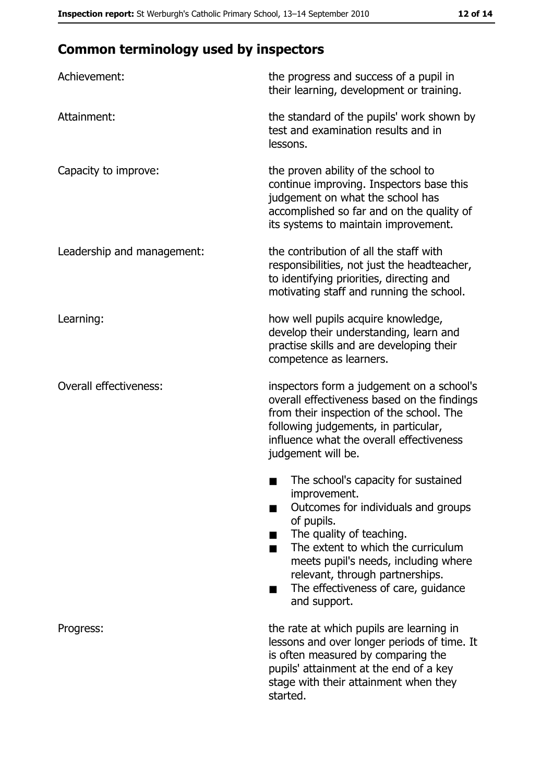# **Common terminology used by inspectors**

| Achievement:                  | the progress and success of a pupil in<br>their learning, development or training.                                                                                                                                                                                                                           |
|-------------------------------|--------------------------------------------------------------------------------------------------------------------------------------------------------------------------------------------------------------------------------------------------------------------------------------------------------------|
| Attainment:                   | the standard of the pupils' work shown by<br>test and examination results and in<br>lessons.                                                                                                                                                                                                                 |
| Capacity to improve:          | the proven ability of the school to<br>continue improving. Inspectors base this<br>judgement on what the school has<br>accomplished so far and on the quality of<br>its systems to maintain improvement.                                                                                                     |
| Leadership and management:    | the contribution of all the staff with<br>responsibilities, not just the headteacher,<br>to identifying priorities, directing and<br>motivating staff and running the school.                                                                                                                                |
| Learning:                     | how well pupils acquire knowledge,<br>develop their understanding, learn and<br>practise skills and are developing their<br>competence as learners.                                                                                                                                                          |
| <b>Overall effectiveness:</b> | inspectors form a judgement on a school's<br>overall effectiveness based on the findings<br>from their inspection of the school. The<br>following judgements, in particular,<br>influence what the overall effectiveness<br>judgement will be.                                                               |
|                               | The school's capacity for sustained<br>improvement.<br>Outcomes for individuals and groups<br>of pupils.<br>The quality of teaching.<br>The extent to which the curriculum<br>meets pupil's needs, including where<br>relevant, through partnerships.<br>The effectiveness of care, guidance<br>and support. |
| Progress:                     | the rate at which pupils are learning in<br>lessons and over longer periods of time. It<br>is often measured by comparing the<br>pupils' attainment at the end of a key<br>stage with their attainment when they<br>started.                                                                                 |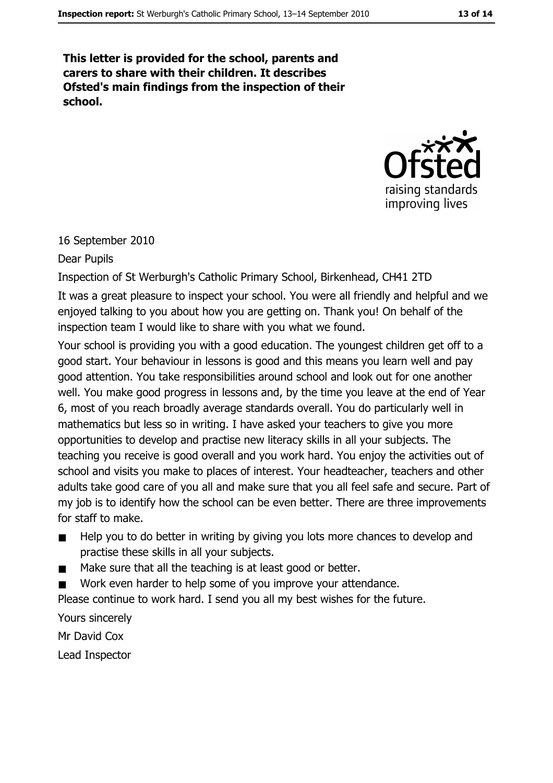This letter is provided for the school, parents and carers to share with their children. It describes Ofsted's main findings from the inspection of their school.



16 September 2010

Dear Pupils

Inspection of St Werburgh's Catholic Primary School, Birkenhead, CH41 2TD

It was a great pleasure to inspect your school. You were all friendly and helpful and we enjoyed talking to you about how you are getting on. Thank you! On behalf of the inspection team I would like to share with you what we found.

Your school is providing you with a good education. The youngest children get off to a good start. Your behaviour in lessons is good and this means you learn well and pay good attention. You take responsibilities around school and look out for one another well. You make good progress in lessons and, by the time you leave at the end of Year 6, most of you reach broadly average standards overall. You do particularly well in mathematics but less so in writing. I have asked your teachers to give you more opportunities to develop and practise new literacy skills in all your subjects. The teaching you receive is good overall and you work hard. You enjoy the activities out of school and visits you make to places of interest. Your headteacher, teachers and other adults take good care of you all and make sure that you all feel safe and secure. Part of my job is to identify how the school can be even better. There are three improvements for staff to make.

- Help you to do better in writing by giving you lots more chances to develop and  $\blacksquare$ practise these skills in all your subjects.
- Make sure that all the teaching is at least good or better.  $\blacksquare$
- Work even harder to help some of you improve your attendance.

Please continue to work hard. I send you all my best wishes for the future.

Yours sincerely Mr David Cox Lead Inspector